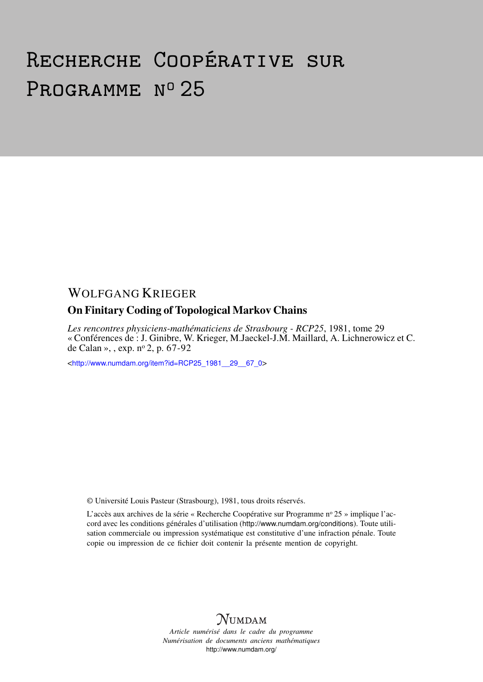# Recherche Coopérative sur PROGRAMME Nº 25

## WOLFGANG KRIEGER

### On Finitary Coding of Topological Markov Chains

*Les rencontres physiciens-mathématiciens de Strasbourg - RCP25*, 1981, tome 29 « Conférences de : J. Ginibre, W. Krieger, M.Jaeckel-J.M. Maillard, A. Lichnerowicz et C. de Calan », , exp. n<sup>o</sup> 2, p. 67-92

<[http://www.numdam.org/item?id=RCP25\\_1981\\_\\_29\\_\\_67\\_0](http://www.numdam.org/item?id=RCP25_1981__29__67_0)>

© Université Louis Pasteur (Strasbourg), 1981, tous droits réservés.

L'accès aux archives de la série « Recherche Coopérative sur Programme nº 25 » implique l'accord avec les conditions générales d'utilisation (<http://www.numdam.org/conditions>). Toute utilisation commerciale ou impression systématique est constitutive d'une infraction pénale. Toute copie ou impression de ce fichier doit contenir la présente mention de copyright.



*Article numérisé dans le cadre du programme Numérisation de documents anciens mathématiques* <http://www.numdam.org/>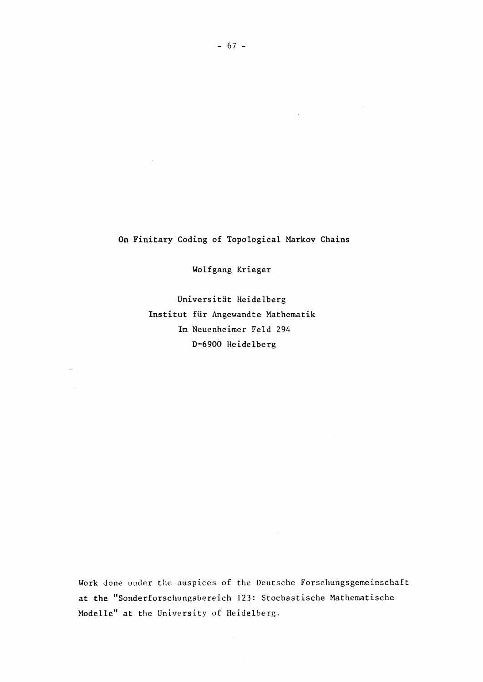On Finitary Coding of Topological Markov Chains

Wolfgang Krieger

Universität Heidelberg Institut für Angewandte Mathematik Im Neuenheimer Feld 294 D-6900 Heidelberg

 $\bar{z}$ 

 $\mathcal{L}_{\mathcal{L}}$ 

Work done under the auspices of the Deutsche Forschungsgemeinschaft at the "Sonderforschungsbereich 123: Stochastische Mathematische Modelle" at the University of Heidelberg.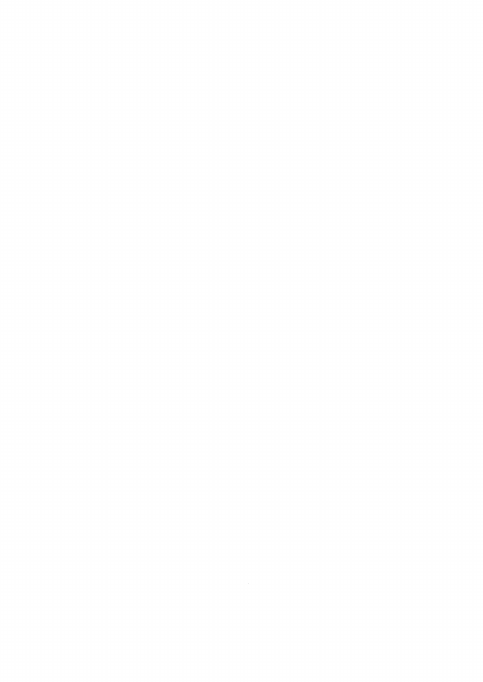$\label{eq:2.1} \frac{1}{\sqrt{2}}\int_{\mathbb{R}^3}\frac{1}{\sqrt{2}}\left(\frac{1}{\sqrt{2}}\right)^2\frac{1}{\sqrt{2}}\left(\frac{1}{\sqrt{2}}\right)^2\frac{1}{\sqrt{2}}\left(\frac{1}{\sqrt{2}}\right)^2\frac{1}{\sqrt{2}}\left(\frac{1}{\sqrt{2}}\right)^2.$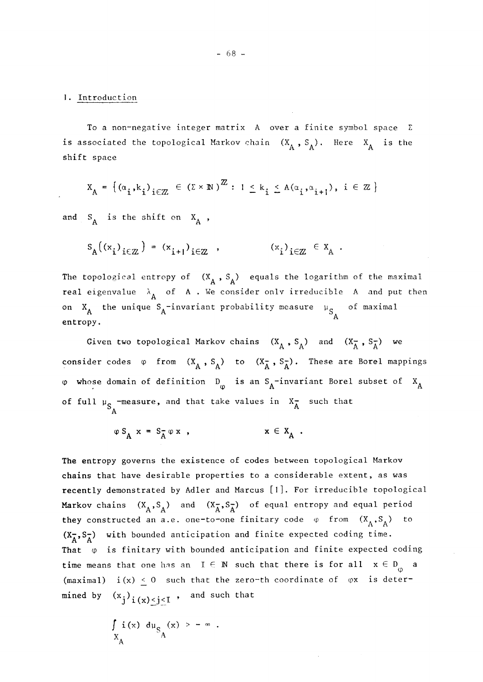#### 1. Introduction

To a non-negative integer matrix A over a finite symbol space Σ is associated the topological Markov chain  $(X_{\lambda}, S_{\lambda})$ . Here  $X_{\lambda}$  is the **A**  $\mathbf{A}$  **A**  $\mathbf{A}$ shift space of the space of the space of the space of the space of the space of the space of the space of the space of the space of the space of the space of the space of the space of the space of the space of the space of

$$
X_A = \{ (\alpha_i, k_i)_{i \in \mathbb{Z}} \in (\Sigma \times \mathbb{N})^{\mathbb{Z}} : 1 \leq k_i \leq A(\alpha_i, \alpha_{i+1}), i \in \mathbb{Z} \}
$$

and  $S_A$  is the shift on  $X_A$ ,

**A A** 

$$
s_{A}((x_{i})_{i\in\mathbb{Z}}) = (x_{i+1})_{i\in\mathbb{Z}} , \qquad (x_{i})_{i\in\mathbb{Z}} \in X_{A} .
$$

The topological entropy of  $(X^A, S^A)$  equals the logarithm of the maximal real eigenvalue  $\lambda_A$  of A. We consider only irreducible A and put then on X<sub>A</sub> the unique S<sub>A</sub>-invariant probability measure  $\mu_{\rm c}$  of maximal **b**  $\mathbf{A}$  **a**  $\mathbf{A}$  **a**  $\mathbf{A}$  **a**  $\mathbf{A}$ 

Giver  $G = G \cdot G$  and  $G = G \cdot G$ consider codes  $\varphi$  from  $(X_A, S_A)$  to  $(X_{\overline{A}}, S_{\overline{A}})$ . These are Borel mappings  $\mathcal{L}$  , the codes of definition  $\mathcal{D}$  , is an  $\mathcal{C}$  intermient Donal mulgar of  $\mathcal{Y}$ on  $\mu_{\varphi}$  is an  $\mu_{A}$  inv  $f<sub>u</sub>$  domain of the distribution  $X -$  such that A A

$$
\varphi S_A x = S_A^{-} \varphi x , \qquad x \in X_A .
$$

The entropy governs the existence of codes between topological Markov chains that have desirable properties to a considerable extent, as was recently demonstrated by Adler and Marcus [l]. For irreducible topological Markov chains  $(X_A, S_A)$  and  $(X_{\overline{A}}, S_{\overline{A}})$  of equal entropy and equal period they constructed an a.e. one-to-one finitary code  $\varphi$  from  $(X_A, S_A)$  $(X_{\overline{\Lambda}}^-, S_{\overline{\Lambda}}^-)$  with bounded anticipation and finite expected coding time.  $\frac{X}{I}$ ,  $\frac{X}{I}$  is finitary with bounded anticipation and finite expected co **A A**  $\overline{A}$ time means that one has an  $I \in \mathbb{N}$  such that there is for all  $x \in D_0$  a (maximal) i(x) < 0 such that the zero-th coordinate of  $\varphi$ x is determined by  $(x_j)_{i(x) \leq j \leq 1}$ , and such that  $J_{\perp}(\lambda)$   $\rightarrow$   $\rightarrow$ 

> $\int i(x) d\mu_{\rm c} (x) > -\infty$ .  $A \qquad A$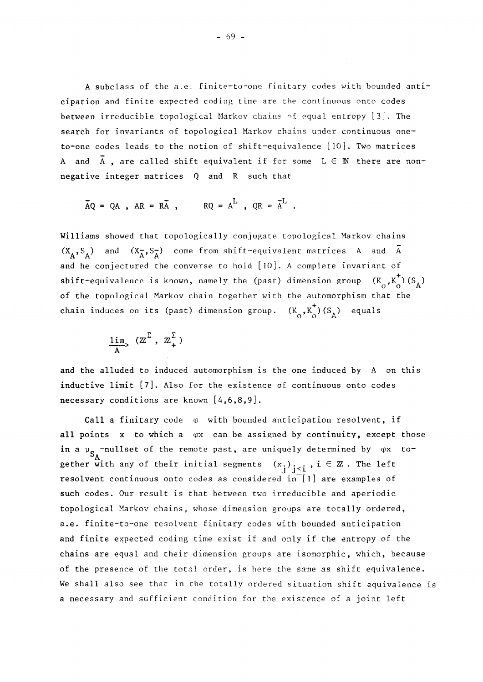A subclass of the a.e. finite-to-one finitary codes with bounded anticipation and finite expected coding time are the continuous onto codes between irreducible topological Markov chains of equal entropy [3]. The search for invariants of topological Markov chains under continuous oneto-one codes leads to the notion of shift-equivalence [10]. Two matrices A and  $\tilde{A}$ , are called shift equivalent if for some  $L \in \mathbb{N}$  there are nonnegative integer matrices Q and R such that

$$
\overline{A}Q = QA
$$
, AR = R $\overline{A}$ , RQ = A<sup>L</sup>, QR =  $\overline{A}^L$ .

Williams showed that topologically conjugate topological Markov chains  $(X_A, S_A)$  and  $(X_{\overline{A}}, S_{\overline{A}})$  come from shift-equivalent matrices A and  $\overline{A}$ and he conjectured the converse to hold [10]. A complete invariant of shift-equivalence is known, namely the (past) dimension group  $(K_{0}, K_{0}^{+}) (S_{A})$ of the topological Markov chain together with the automorphism that the chain induces on its (past) dimension group.  $(K_{\alpha}, K_{\alpha}^{+})(S_{\alpha})$  equals

$$
\frac{\lim}{A} \left( \mathbb{Z}^{\Sigma} , \mathbb{Z}_{+}^{\Sigma} \right)
$$

and the alluded to induced automorphism is the one induced by A on this inductive limit [7]. Also for the existence of continuous onto codes necessary conditions are known  $[4,6,8,9]$ .

Call a finitary code  $\varphi$  with bounded anticipation resolvent, if all points x to which a  $\varphi x$  can be assigned by continuity, except those in a  $\mu_{S_A}$ -nullset of the remote past, are uniquely determined by  $\varphi x$  $to$ gether with any of their initial segments  $(x_j)_{j \leq i}$ ,  $i \in \mathbb{Z}$ . The left resolvent continuous onto codes as considered in [1] are examples of such codes. Our result is that between two irreducible and aperiodic topological Markov chains, whose dimension groups are totally ordered, a.e. finite-to-one resolvent finitary codes with bounded anticipation and finite expected coding time exist if and only if the entropy of the chains are equal and their dimension groups are isomorphic, which, because of the presence of the total order, is here the same as shift equivalence. We shall also see that in the totally ordered situation shift equivalence is a necessary and sufficient condition for the existence of a joint left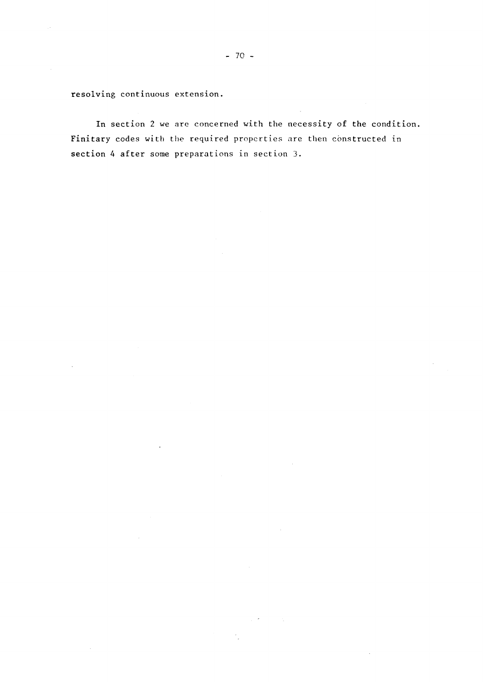resolving continuous extension.

In section 2 we are concerned with the necessity of the condition. Finitary codes with the required properties are then constructed in section 4 after some preparations in section 3.

 $\mathcal{L}(\mathcal{A})$  , and  $\mathcal{L}(\mathcal{A})$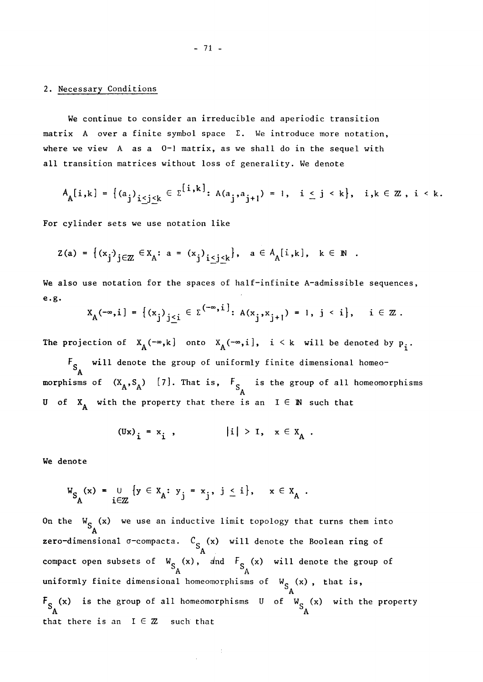#### 2· Necessary Conditions

We continue to consider an irreducible and aperiodic transition matrix A over a finite symbol space  $\Sigma$ . We introduce more notation, where we view A as a 0-1 matrix, as we shall do in the sequel with all transition matrices without loss of generality. We denote

$$
A_{A}[i,k] = \{(a_j)_{1 \leq j \leq k} \in \Sigma^{\{i,k\}} : A(a_j,a_{j+1}) = 1, i \leq j < k\}, i,k \in \mathbb{Z}, i < k.
$$

For cylinder sets we use notation like

$$
Z(a) = \{(x_j)_{j \in \mathbb{Z}} \in X_A : a = (x_j)_{1 \leq j \leq k} \}, a \in A_A[i, k], k \in \mathbb{N} .
$$

We also use notation for the spaces of  $half-infinite$  A-admissible sequences, e.g.

$$
X_A(-\infty, i] = \{ (x_j)_{j \leq i} \in \Sigma^{(-\infty, i]} : A(x_j, x_{j+1}) = 1, j < i \}, \quad i \in \mathbb{Z}.
$$

The projection of  $X_A(-\infty,k]$  onto  $X_A(-\infty,i)$ , i < k will be denoted by  $p_i$ .

F<sub>S</sub> will denote the group of uniformly finite dimensional homeo- $\mathbf{A}$ morphisms of  $(X_{\Lambda},S_{\Lambda})$  [7]. That is,  $F_{\sigma}$  is the group of all homeomorphisms A

$$
(\mathtt{U}\mathtt{x})\mathtt{i} = \mathtt{x}\mathtt{i}, \qquad |\mathtt{i}| > \mathtt{I}, \quad \mathtt{x} \in \mathtt{X}\mathtt{A}.
$$

We denote

$$
W_{S_A}(x) = \bigcup_{i \in \mathbb{Z}} \{ y \in X_A : y_j = x_j, \ j \leq i \}, \quad x \in X_A.
$$

On the W<sub>s</sub> (x) we use an inductive limit topology that turns them into  $\mathsf{A}^{\mathsf{U}}$ zero-dimensional  $\sigma$ -compacta.  $\left. \mathcal{C}_{_{\mathbf{C}}} \right.$  (x)  $\;$  will denote the Boolean ring of  $\mathbf{A}^{\mathcal{C}}$ compact open subsets of  $W_{\rm e}$  (x), and  $F_{\rm e}$  (x) will denote the group of  $\mathcal{L}_{A}$   $\mathcal{L}_{A}$ uniformly finite dimensional homeomorphisms of  $W_{\bf c}$   $({\bf x})$  , that is,  $\mathbf{A}^{\mathsf{U}}$  $\mathbf{F_{c}}$  (x) is the group of all homeomorphisms  $\,$  U of  $\,$  W<sub>c</sub> (x) with the property  $\mathcal{L}_{\mathbf{A}}$ that there is an  $I \in \mathbb{Z}$  such that

 $\sim$   $^{\circ}_{\circ}$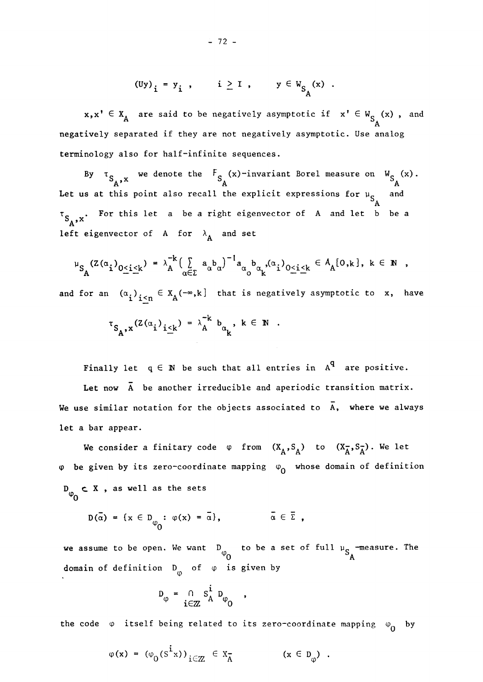$$
(Uy)_{i} = y_{i}
$$
,  $i \ge 1$ ,  $y \in W_{S_{A}}(x)$ .

 $x, x' \in X$  are said to be negatively asymptotic if  $x' \in W$ <sub>c</sub>  $(x)$ , and A negatively separated if they are not negatively asymptotic. Use analog terminology also for half-infinite sequences.

By  $\tau_{\rm c}$  , we denote the  $F_{\rm c}$  (x)-invariant Borel measure on  $W_{\rm c}$  (x).  $A^{\bullet}$ <sup>A</sup>  $\mathcal{L}_{\mathbf{f}}$ Let us at this point also recall the explicit expressions for  $\mu_{_{\mathbf{C}}}$  and  $\mathbf{A}^{\mathcal{A}}$  $\tau_{S_A, x}$ . For this let a be a right eigenvector of A and let b be a left eigenvector of A for  $\lambda_A$  and set

$$
\mu_{S_{\mathbf{A}}}(\mathbf{Z}(\alpha_{\mathbf{i}})_{0 \leq \mathbf{i} \leq \mathbf{k}}) = \lambda_{\mathbf{A}}^{-\mathbf{k}} \Big( \sum_{\alpha \in \Sigma} a_{\alpha} b_{\alpha} \Big)^{-1} a_{\alpha} b_{\alpha} \mathbf{x}^{(\alpha_{\mathbf{i}})} \Big)_{0 \leq \mathbf{i} \leq \mathbf{k}} \in A_{\mathbf{A}}[0, \mathbf{k}], \ \mathbf{k} \in \mathbb{N} \ ,
$$

and for an  $(\alpha_i)_{i \le n} \in X_A(-\infty, k]$  that is negatively asymptotic to x, have

$$
\tau_{S_A, x}(z(\alpha_i)_{i \leq k}) = \lambda_A^{-k} b_{\alpha_k}, k \in \mathbb{N} .
$$

Finally let  $q \in \mathbb{N}$  be such that all entries in  $A^q$  are positive.

Let now  $\bar{A}$  be another irreducible and aperiodic transition matrix. We use similar notation for the objects associated to  $\overline{A}$ , where we always let a bar appear.

We consider a finitary code  $\varphi$  from  $(X_A^-, S_A^-)$  to  $(X_A^-, S_A^-)$ . We let  $\varphi$  be given by its zero-coordinate mapping  $\varphi$ <sup>0</sup> whose domain of definition  $D_{\varphi_{\Omega}} \subset X$ , as well as the sets

$$
D(\bar{\alpha}) = \{x \in D_{\varphi} : \varphi(x) = \bar{\alpha}\}, \qquad \bar{\alpha} \in \bar{\Sigma},
$$

**ο** 

we assume to be open. We want  $D_{\alpha}$  to be a set of full  $\mu_{\alpha}$  -measure. The  $\overline{0}$  $\overline{A}$ domain of definition  $D_{(f)}$  of  $\phi$  is given by

$$
D_{\varphi} = \bigcap_{i \in \mathbb{Z}} S_A^i D_{\varphi} ,
$$

the code  $\varphi$  itself being related to its zero-coordinate mapping  $\varphi$  by

$$
\varphi(x) = (\varphi_0(s^ix))_{i \in \mathbb{Z}} \in X_{\overline{A}} \qquad (x \in D_{\varphi}) .
$$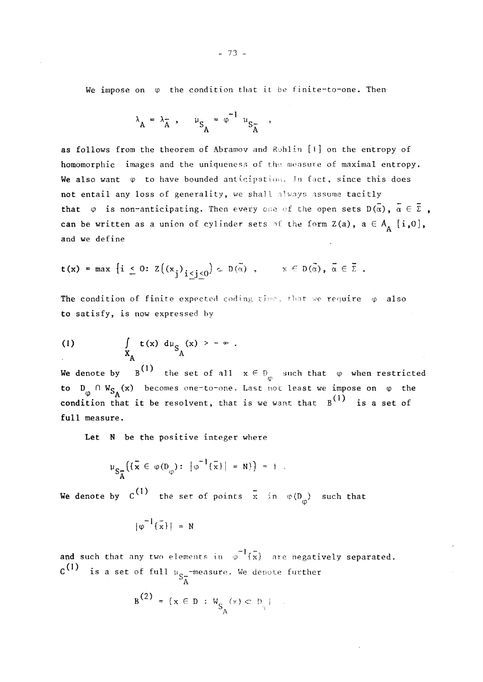We impose on  $\varphi$  the condition that it be finite-to-one. Then

$$
\lambda_{\mathbf{A}} = \lambda_{\mathbf{A}} \quad , \qquad \mu_{\mathbf{S}_{\mathbf{A}}} = \varphi^{-1} \quad \mu_{\mathbf{S}_{\mathbf{A}}} \quad ,
$$

as follows from the theorem of Abramov and Rohlin [l] on the entropy of homomorphic images and the uniqueness of the measure of maximal entropy. We also want  $\varphi$  to have bounded anticipation, In fact, since this does not entail any loss of generality, we shall always assume tacitly that  $\varphi$  is non-anticipating. Then every one of the open sets  $D(\bar{\alpha})$ ,  $\bar{\alpha} \in \bar{\Sigma}$ , can be written as a union of cylinder sets of the form  $Z(a)$ ,  $a \in A_{\overline{A}}$  [i,0], and we define

$$
t(x) = \max \left\{ i \leq 0 : Z\left( (x_j)_{1 \leq j \leq 0} \right) \subset D(\vec{\alpha}) , \quad x \in D(\vec{\alpha}), \ \vec{\alpha} \in \vec{\Sigma} .
$$

The condition of finite expected coding time, that we require  $\phi$  also to satisfy, is now expressed by

(1) 
$$
\int_{X_A} t(x) d\mu_{S_A}(x) > -\infty.
$$

We denote by  $B^{(1)}$  the set of all  $x \in D_{n}$  such that  $\varphi$  when restricted **Φ**   $\phi$   $\mathbf{A}^{\star}$  becomes one-to-one-to-one-to-one-to-one-to-one-to-one-to-one-to-one-to-one-to-one-to-one-to-one-to-one-to-one-to-one-to-one-to-one-to-one-to-one-to-one-to-one-to-one-to-one-to-one-to-one-to-one-to-one-to **1210 CHACTLE DE LESOLVENT, CHACTLE WE WANT LINE TO BE A LIST.** full measure.

Let N be the positive integer where

$$
\mu_{S_{\overline{A}}} \big( \{ \overline{x} \in \phi(D_{\phi}) : \|\varphi^{-1}\{\overline{x}\} \| = N \} \big) = 1.
$$

We denote by  $C^{(1)}$  the set of points  $\bar{x}$  in  $\varphi(D_{\varphi})$  such that

 $W_{\rm eff}$  dénote by the set of points in  $\mathbb{R}^2$  ,  $\mathbb{R}^2$  ,  $\mathbb{R}^2$  ,  $\mathbb{R}^2$  ,  $\mathbb{R}^2$  ,  $\mathbb{R}^2$  ,  $\mathbb{R}^2$  ,  $\mathbb{R}^2$  ,  $\mathbb{R}^2$  ,  $\mathbb{R}^2$  ,  $\mathbb{R}^2$  ,  $\mathbb{R}^2$  ,  $\mathbb{R}^2$  ,  $\mathbb{R}^2$  ,

$$
|\varphi^{-1}\{\vec{x}\}| = N
$$

and such that any two elements in  $\varphi^{-1}\{\tilde{x}\}$  are negatively separated.  $c^{(1)}$  is a set of full  $u_{S_{\lambda}^-}$ -measure. We denote further

$$
B^{(2)} = \{x \in D : W_{S_A}(x) \subset D_{\text{gr}}\} \quad .
$$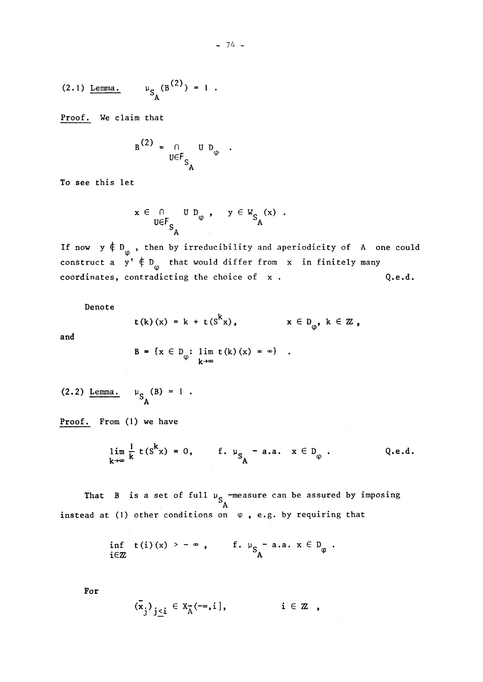(2.1) Lemma. 
$$
\mu_{S_A}(B^{(2)}) = 1
$$
.

Proof. We claim that

$$
B^{(2)} = \bigcap_{U \in F_{S_A}} U D_{\varphi}.
$$

To see this let

$$
x \in \bigcap_{U \in F_{S_A}} U D_{\phi} , \quad y \in W_{S_A}(x) .
$$

If now  $y \notin D_{\phi}$ , then by irreducibility and aperiodicity of A one could construct a  $y' \notin D_0$  that would differ from x in finitely many coordinates, contradicting the choice of  $x$ .  $Q.e.d.$ 

Dénote

$$
t(k)(x) = k + t(S^{k}x), \qquad x \in D_{\varphi}, k \in \mathbb{Z},
$$

and

$$
B = \{x \in D_{\phi}: \lim_{k \to \infty} t(k)(x) = \infty\}.
$$

(2.2) Lemma. 
$$
\mu_{S_A}(B) = 1
$$
.

 $\sim$ 

 $\sim 10^7$ 

Proof. From (1) we have

$$
\lim_{k\to\infty}\frac{1}{k} t(s^{k}x) = 0, \qquad f. \quad \mu_{S_{\mathbf{A}}} - a.a. \quad x \in D_{\varphi}. \qquad Q.e.d.
$$

That B is a set of full  $\mu_S$ -measure can be assured by imposing instead at (1) other conditions on  $\varphi$ , e.g. by requiring that

$$
\inf_{i \in \mathbb{Z}} t(i) (x) > -\infty, \quad f. \mu_{S_A} - a.a. \quad x \in D_{\varphi}
$$

For

$$
(\bar{x}_j)_{j\leq i} \in X_{\bar{A}}(-\infty, i], \qquad i \in \mathbb{Z},
$$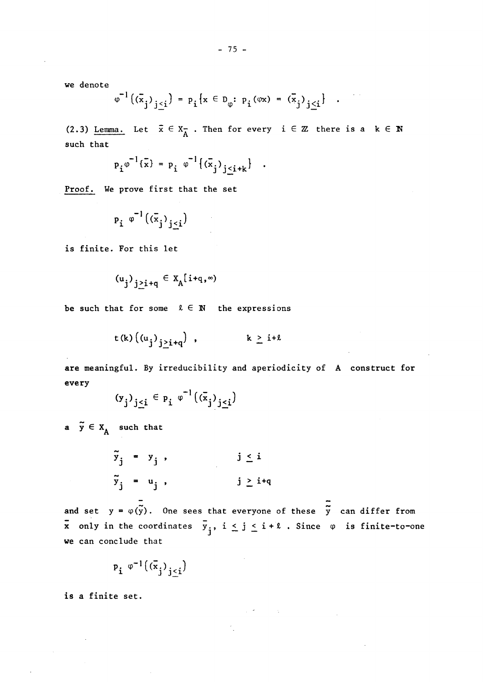we dénote

$$
\varphi^{-1}(\overline{x}_j)_{j \leq i} = p_i \{x \in D_{\varphi}: p_i(\varphi x) = (\overline{x}_j)_{j \leq i} \} .
$$

(2.3) <u>Lemma.</u> Let  $\bar{x} \in X_{\bar{A}}$ . Then for every  $i \in \mathbb{Z}$  there is a  $k \in \mathbb{N}$ such that

$$
p_i \varphi^{-1} \{\bar{x}\} = p_i \varphi^{-1} \{(\bar{x}_j)\}_{j \leq i+k}
$$
.

Proof. We prove first that the set

$$
P_i \varphi^{-1}(\bar{(x_j)}_{j \leq i})
$$

is finite. For this let

$$
(u_j)_{j \geq i+q} \in X_A[i+q, \infty)
$$

be such that for some  $\ell \in \mathbb{N}$  the expressions

$$
t(k)\left((u_{j})_{j\geq i+q}\right) ,\qquad k\geq i+\ell
$$

are meaningful. By irreducibility and aperiodicity of A construct for every

$$
(y_j)_{j\leq i} \in p_i \varphi^{-1}((\bar{x}_j)_{j\leq i})
$$

a  $\tilde{y} \in X_A$  such that

$$
\tilde{y}_j = y_j, \qquad j \leq i
$$
  

$$
\tilde{y}_j = u_j, \qquad j \geq i+q
$$

and set  $y = \varphi(\overline{y})$ . One sees that everyone of these  $\overline{y}$  can differ from  $\bar{x}$  only in the coordinates  $\bar{y}_j$ ,  $i \leq j \leq i + \ell$ . Since  $\varphi$  is finite-to-one we can conclude that

 $\label{eq:2} \mathcal{L}_{\mathcal{A}}(\mathbf{z}^{\mathbf{y}}_{\mathbf{y}}) = \mathcal{L}_{\mathcal{A}}(\mathbf{y}^{\mathbf{y}}_{\mathbf{y}}) = \mathcal{L}_{\mathcal{A}}(\mathbf{y}^{\mathbf{y}}_{\mathbf{y}})$ 

$$
P_{\mathbf{i}} \varphi^{-1}(\bar{x}_{\mathbf{j}})_{\mathbf{j} \leq \mathbf{i}})
$$

is a finite set.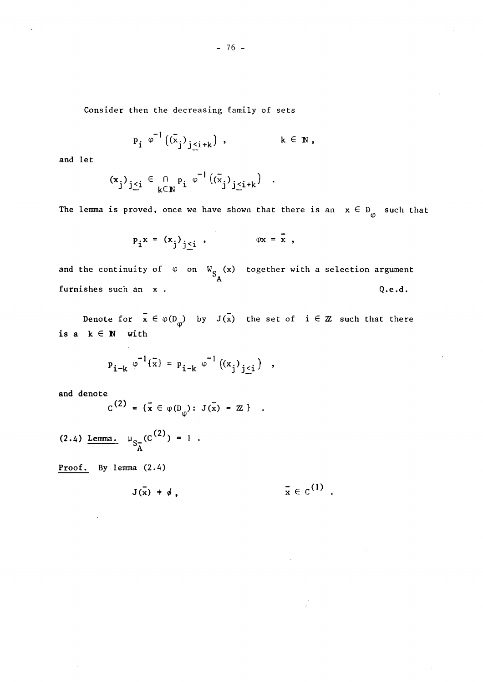Consider then the decreasing family of sets

$$
P_{i} \varphi^{-1}(\bar{x}_{j})_{j \leq i+k} , \qquad k \in \mathbb{N} ,
$$

and let

$$
(x_j)_{j\leq i} \in \underset{k\in\mathbb{N}}{\cap} p_i \circ^{-1} ((\overline{x}_j)_{j\leq i+k}) \quad .
$$

The lemma is proved, once we have shown that there is an  $x \in D_{\rho}$  such that

Φ

$$
P_i x = (x_j)_{j \leq i} , \qquad \varphi x = \overline{x} ,
$$

and the continuity of  $\varphi$  on  $W_{\mathbf{c}}$  (x) together with a selection argument  $\mathsf{A}$ furnishes such an x.  $Q.e.d.$ 

Denote for  $\bar{x} \in \varphi(D_{\varphi})$  by  $J(\bar{x})$  the set of  $i \in \mathbb{Z}$  such that there is a k G *H* with

$$
P_{i-k} \varphi^{-1} \{\bar{x}\} = P_{i-k} \varphi^{-1} \left( (x_j)_{j \leq i} \right) ,
$$

and dénote

$$
C^{(2)} = {\bar{x} \in \varphi(D_0) : J(\bar{x}) = Z}
$$

( 2 ) - {x **e** Φ(0 ): J(x) = *7L } .* 

$$
(2.4) \text{ Lemma. } \mu_{S_{\overline{A}}}(\mathcal{C}^{(2)}) = 1 .
$$

Proof. By lemma (2.4)

$$
J(\bar{x}) + \phi , \qquad \bar{x} \in C^{(1)} .
$$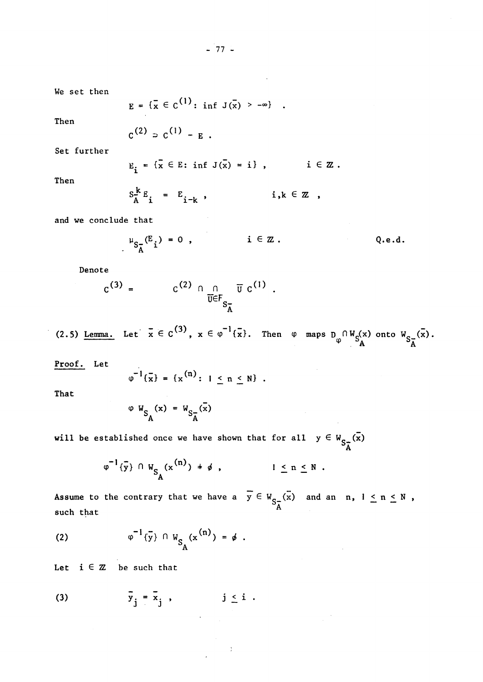We set then

$$
=\{\bar{x} \in C^{(1)} : \inf J(\bar{x}) > -\infty\}
$$

Then

$$
c^{(2)} = c^{(1)} - E.
$$

 $\mathbf E$ 

Set further

$$
E_i = \{x \in E : \inf J(x) = i\}, \qquad i \in \mathbb{Z}.
$$

Then

$$
S_{\tilde{A}}^k E_i = E_{i-k} , \qquad i,k \in \mathbb{Z} ,
$$

and we conclude that

 $\ddot{\phantom{0}}$ 

$$
\mu_{S_{\overline{A}}} (E_i) = 0 , \qquad i \in \mathbb{Z} .
$$
 Q.e.d.

Denote

$$
c^{(3)} = c^{(2)} \cap \bigcap_{\overline{U} \in F_{S_{\overline{A}}}} \overline{U} c^{(1)}.
$$

(2.5) Lemma. Let  $\bar{x} \in C^{(3)}$ ,  $x \in \varphi^{-1}(\bar{x})$ . Then  $\varphi$  maps  $D_{\varphi} \cap W_{S_A^{\{x\}}}$  onto  $W_{S_{\bar{A}}^{\{x\}}}$ .

Proof. Let

$$
\rho^{-1}\{\bar{x}\} = \{x^{(n)}: 1 \leq n \leq N\} .
$$

That

$$
\varphi W_{S_{\stackrel{\circ}{A}}(x)} = W_{S_{\stackrel{\circ}{A}}(x)}
$$

 $\mathcal{L}^{\text{max}}_{\text{max}}$ 

will be established once we have shown that for all  $y \in W_{S_{\tau}^{\bullet}}(\bar{x})$ 

$$
\varphi^{-1}\{\bar{y}\}\cap W_{S_{\mathbf{A}}}(\mathbf{x}^{(n)})\neq\emptyset, \qquad l\leq n\leq N.
$$

 $\mathcal{F}^{\text{max}}_{\text{max}}$ 

 $\sim 10^{-1}$ 

Assume to the contrary that we have a  $\overline{y} \in W_{S_{\overline{A}}}(\overline{x})$  and an n,  $1 \le n \le N$ , such that

 $\frac{1}{2} \frac{1}{2} \frac{d^2}{dx^2}$ 

(2) 
$$
\varphi^{-1} \{ \bar{y} \} \cap W_{S_A}(x^{(n)}) = \phi
$$
.

Let  $i \in \mathbb{Z}$  be such that

$$
\bar{y}_j = \bar{x}_j, \qquad j \leq i.
$$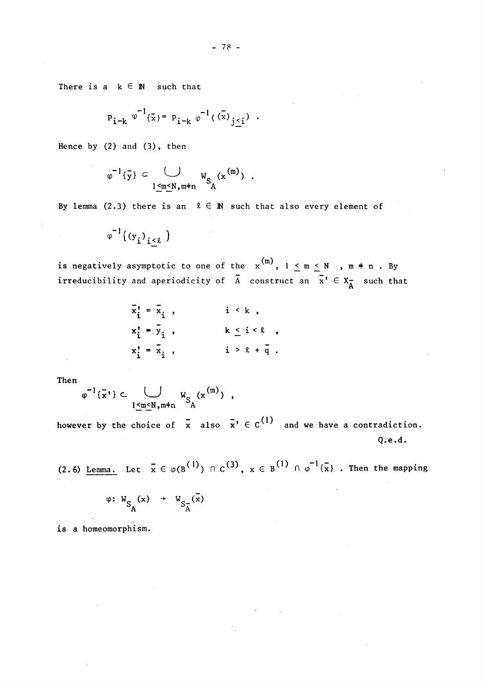There is a  $k \in \mathbb{N}$  such that

$$
p_{i-k} \varphi^{-1}(\bar{x}) = p_{i-k} \varphi^{-1}(\bar{x})_{j \leq i})
$$
.

Hence by (2) and (3), then

$$
\varphi^{-1}\{\bar{y}\} \subset \bigcup_{1 \leq m \leq N, m \neq n} W_{S_{A}}(x^{(m)}) .
$$

By lemma (2.3) there is an  $\ell \in \mathbb{N}$  such that also every element of

$$
\phi^{-1}(\left(y_i\right)_{i\leq \ell})
$$

is negatively asymptotic to one of the  $x^{(m)}$ ,  $l \leq m \leq N$  ,  $m \neq n$ . By irreducibility and aperiodicity of  $\overline{A}$  construct an  $\overline{x}' \in X_{\overline{A}}$  such that

$$
\bar{x}_{i}^{\dagger} = \bar{x}_{i} , \qquad i < k ,
$$
  
\n
$$
x_{i}^{\dagger} = \bar{y}_{i} , \qquad k \leq i < \ell ,
$$
  
\n
$$
x_{i}^{\dagger} = \bar{x}_{i} , \qquad i > \ell + \bar{q} .
$$

Then

$$
\varphi^{-1}\{\bar{x}^{\prime}\}\subset \bigcup_{1\leq m\leq N, m\neq n}W_{S_{A}}(x^{(m)})\ ,
$$

however by the choice of  $\overline{x}$  also  $\overline{x}$ <sup>t</sup>  $\in$  C<sup>(1)</sup> and we have a contradiction. Q.e.d.

(2.6) Lemma. Let  $\bar{x} \in \varphi(B^{(1)}) \cap C^{(3)}$ ,  $x \in B^{(1)} \cap \varphi^{-1}\{x\}$ . Then the mapping

$$
\varphi: W_{S_{\mathbf{A}}}(\mathbf{x}) \rightarrow W_{S_{\mathbf{A}}^{-}}(\mathbf{x})
$$

is a homeomorphism.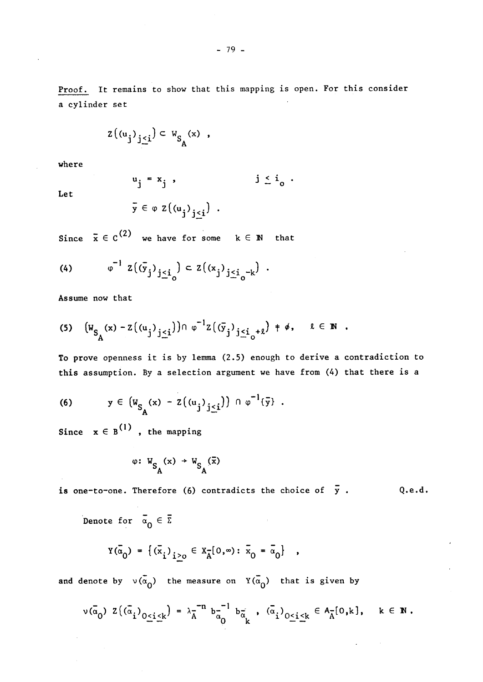Proof. It remains to show that this mapping is open. For this consider a cylinder set

$$
z((u_j)_{j\leq i})\subset w_{S_A}(x) ,
$$

where

Let

$$
\bar{y} \in \varphi \ z((u_j)_{j \leq i}) \ .
$$

 $u_j = x_j$ ,  $j \le i_0$ .

Since  $\bar{x} \in C^{(2)}$  we have for some  $k \in \mathbb{N}$  that

(4) 
$$
\varphi^{-1} z(\bar{y}_j)_{j \leq i_0} \subset z((x_j)_{j \leq i_0-k})
$$
.

(5) 
$$
(W_{S_A}(x) - Z((u_j)_{j \leq i})) \cap \varphi^{-1}Z((\bar{y}_j)_{j \leq i_0 + \ell}) + \phi, \quad \ell \in \mathbb{N}.
$$

To prove openness it is by lemma (2.5) enough to derive a contradiction to *<sup>1</sup>Ζ{Β.).±Ί +! )* **f** *4,* **t € M .**  this assumption. By a selection argument we have from (4) that there is a

(6) 
$$
y \in (W_{S_A}(x) - Z((u_j)_{j \leq i})) \cap \varphi^{-1}(\bar{y})
$$
.

S A J J -

$$
\rho: W_{S_A}(x) \rightarrow W_{S_A}(\bar{x})
$$

is one-to-one. Therefore (6) contradicts the choice of  $\overline{y}$ . Q.e.d.

Denote for  $\bar{\alpha}_0 \in \bar{\Sigma}$ 

 $\sim$ 

$$
Y(\bar{\alpha}_0) = \{ (\bar{x}_i)_{i \geq 0} \in X_{\bar{A}}[0, \infty) : \bar{x}_0 = \bar{\alpha}_0 \} ,
$$

and denote by  $v(\alpha_0)$  the measure on  $Y(\alpha_0)$  that is given by

$$
\nu(\bar{a}_0) \; z((\bar{a}_i)_{0 \leq i \leq k}) = \lambda_{\bar{A}}^{-n} \; b_{\bar{a}_0}^{-1} \; b_{\bar{a}_k} \; , \; (\bar{a}_i)_{0 \leq i \leq k} \in A_{\bar{A}}[0, k], \quad k \in \mathbb{N} \; .
$$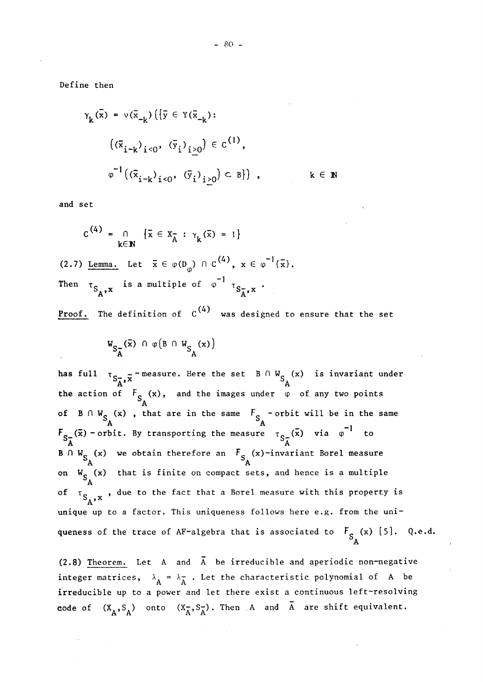Define then

$$
\gamma_{k}(\bar{x}) = \nu(\bar{x}_{-k}) \left( \{ \bar{y} \in Y(\bar{x}_{-k}) : \right.
$$
  

$$
\left( (\bar{x}_{i-k})_{i \leq 0}, (\bar{y}_{i})_{i \geq 0} \right) \in c^{(1)},
$$
  

$$
\varphi^{-1} \left( (\bar{x}_{i-k})_{i \leq 0}, (\bar{y}_{i})_{i \geq 0} \right) \subset B \} \right), \qquad k \in \mathbb{N}
$$

and set

$$
c^{(4)} = \bigcap_{k \in \mathbb{N}} \{\overline{x} \in x_{\overline{A}} : \gamma_k(\overline{x}) = 1\}
$$
  
(2.7) Lemma. Let  $\overline{x} \in \varphi(D_{\varphi}) \cap c^{(4)}$ ,  $x \in \varphi^{-1}\{\overline{x}\}$ .  
Then  $\tau_{S_A, x}$  is a multiple of  $\varphi^{-1}$   $\tau_{S_{\overline{A}}, x}$ .

**Proof.** The definition of  $C^{(4)}$  was designed to ensure that the set

$$
W_{S_{\overline{A}}}(\overline{x}) \cap \varphi(B \cap W_{S_{\overline{A}}}(\overline{x}))
$$

**A A A A** 

has full  $T_{c_{-}}$   $\overline{z}$  -measure. Here the set  $B \cap W_{c_{-}}(x)$  is invariant under  $\mathcal{L}_{\mathbf{A}}$ ,  $\mathcal{L}_{\mathbf{A}}$ the action of  $F_{\rm c}$  (x), and the images under  $\varphi$  of any two points  $\mathbf{A}^{\mathcal{L}}$ of  $B \cap W_{S_A}(x)$ , that are in the same  $F_{S_A}$  -orbit will be in the same  $F_{c}(\overline{x})$  - orbit. By transporting the measure  $\tau_{c}(\overline{x})$  via  $\varphi^{-1}$  to  $\mathcal{L}_{\mathbf{A}}$  Π W (x) we obtain therefore an **F** (x)-invariant Borel measure  $B_A$   $A_B$ on  $W_{\bf c}$  (x) that is finite on compact sets, and hence is a multiple  $\mathsf{A}^{\mathsf{U}}$ of  $\tau_{S_A,x}$ , due to the fact that a Borel measure with this property is unique up to a factor. This uniqueness follows here e.g. from the uniqueness of the trace of AF-algebra that is associated to  $F_{\rm c}$  (x) [5]. Q.e.d.  $\mathbf{A}$ 

(2.8) Theorem. Let A and  $\bar{A}$  be irreducible and aperiodic non-negative integer matrices,  $\lambda_A = \lambda_A^-$ . Let the characteristic polynomial of A be irreducible up to a power and let there exist a continuous left-resolving code of  $(X_A, S_A)$  onto  $(X_A^-, S_A^-)$ . Then A and  $\overline{A}$  are shift equivalent.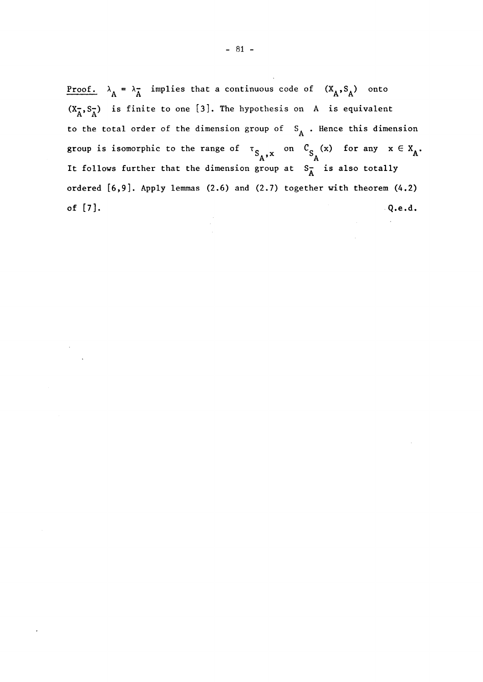Proof.  $\lambda_A = \lambda_{\overline{A}}$  implies that a continuous code of  $(X_A, S_A)$  onto **—————— A A A · A**   $(X_A^-,S_A^-)$  is finite to one [3]. The hypothesis on A is equivalent **A A**  to the total order of the dimension group of  $S_A$ . Hence this dimension **A**   $S_A$ ,  $X$  for any  $S_A$ ,  $X$  for any  $S_A$ . It follows further that the dimension group at  $S_{\overline{A}}^{\bullet}$  is also totally ordered  $[6,9]$ . Apply lemmas (2.6) and (2.7) together with theorem (4.2) of  $[7]$ .  $Q.e.d.$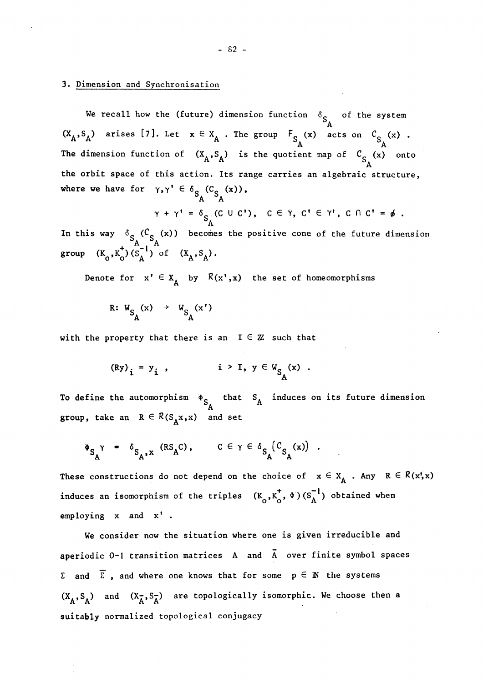#### 3. Dimension **and** Synchronisation

We recall how the (future) dimension function  $\delta_{S}$  of the system  $\mathbf{A}$  $(X_A, S_A)$  arises [7]. Let  $x \in X_A$  . The group  $F_{\mathbf{c}}(x)$  acts on  $\mathcal{C}_{\mathbf{c}}(x)$  .  $A \qquad A$ The dimension function of  $(X_A^-, S_A^+)$  is the quotient map of  $C_{S}^-(x)$  onto A the orbit space of this action. Its range carries an algebraic structure, where we have for  $\gamma, \gamma' \in \delta_c$  (C<sub>c</sub> (x)),  $A \cap A$ 

$$
\gamma + \gamma' = \delta_{S_A} (C \cup C'), \quad C \in \gamma, \ C' \in \gamma', \ C \cap C' = \phi.
$$

In this way  $\delta_{\mathbf{c}}^{\phantom{\dag}}\left( \mathcal{C}_{\mathbf{c}}^{\phantom{\dag}}\left(\mathbf{x}\right)\right)$  becomes the positive cone of the future dimension  $A_{-1}^{\prime}$ <sup>M</sup> group  $(K_{\alpha}, K_{\alpha}') (S_{\alpha}^{-1})$  of  $(X_{\alpha}, S_{\alpha})$ .

Denote for  $x^{\dagger} \in X_A$  by  $R(x^{\dagger},x)$  the set of homeomorphisms

$$
R: W_{S_A}(x) \rightarrow W_{S_A}(x')
$$

with the property that there is an  $I \in \mathbb{Z}$  such that

$$
(Ry)_{i} = y_{i}
$$
,  $i > I, y \in W_{S_{A}}(x)$ .

To define the automorphism  $\phi_c$  that S<sub>A</sub> induces on its future dimension A group, take an  $R \in R(S_A x, x)$  and set

$$
\Phi_{S_A} \gamma = \delta_{S_A, x} (\text{RS}_A C), \qquad C \in \gamma \in \delta_{S_A} (C_{S_A, x}).
$$

These constructions do not depend on the choice of  $x \in X_A$ . Any  $R \in R(x^t, x)$ induces an isomorphism of the triples  $(K_{\alpha}, K_{\alpha}^{+}, \Phi)$  $(S_{A}^{-1})$  obtained when **O O A**   $employing x and x'$ .

We consider now the situation where one is given irreducible and aperiodic 0-1 transition matrices A and  $\overline{A}$  over finite symbol spaces aperiodic 0-1 transition matrices A and A over finite symbol spaces  $(X_A, S_A)$  and  $(X_{\overline{A}}, S_{\overline{A}})$  are topologically isomorphic. We choose then a suitably normalized topological conjugacy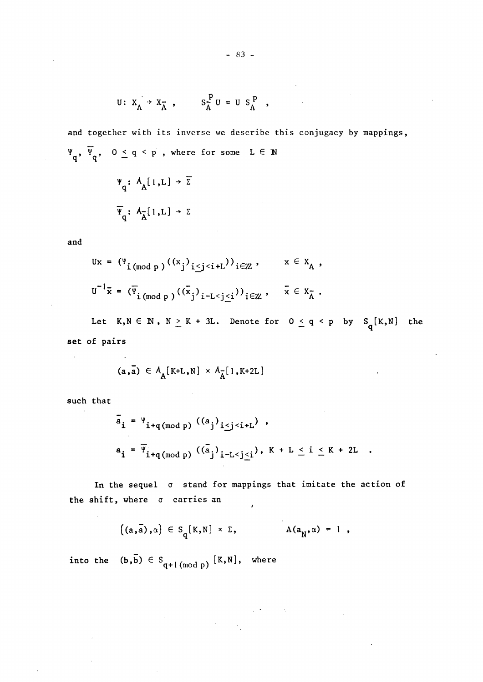$$
U: X_A \rightarrow X_{\overline{A}} , \qquad S_{\overline{A}}^P U = U S_A^P ,
$$

and together with its inverse we describe this conjugacy by mappings,  $\Psi_{q}$ ,  $\overline{\Psi}_{q}$ ,  $0 \leq q < p$ , where for some  $L \in \mathbb{N}$  $\Psi_{q}: A_{A}[1,L] \rightarrow \overline{\Sigma}$  $\overline{\Psi}_{q}: A_{\overline{A}}[1,L] \rightarrow \Sigma$ 

and

$$
Ux = (\Psi_{i \pmod{p}}((x_{j})_{i \leq j < i+L}))_{i \in \mathbb{Z}}, \qquad x \in X_{A},
$$
  

$$
U^{-1}\overline{x} = (\overline{\Psi}_{i \pmod{p}}((\overline{x}_{j})_{i-L < j \leq i}))_{i \in \mathbb{Z}}, \qquad \overline{x} \in X_{\overline{A}}.
$$

Let  $K, N \in \mathbb{N}$ ,  $N \ge K + 3L$ . Denote for  $0 \le q < p$  by  $S_q[K, N]$  the set of pairs

$$
(a,\bar{a}) \in A_{\overline{A}}[K+L,N] \times A_{\overline{A}}[1,K+2L]
$$

such that

 $\Delta \phi$ 

$$
\bar{a}_{i} = \Psi_{i+q \pmod{p}} ((a_{j})_{i \leq j < i+L}) ,
$$
\n
$$
a_{i} = \bar{\Psi}_{i+q \pmod{p}} ((\bar{a}_{j})_{i-L < j \leq i}), K + L \leq i \leq K + 2L
$$

In the sequel  $\sigma$  stand for mappings that imitate the action of the shift, where o carries an  $\overline{1}$ 

$$
((a,\overline{a}),\alpha) \in S_q[K,N] \times \Sigma, \qquad A(a_N,\alpha) = 1,
$$

 $\label{eq:2} \frac{1}{2}\left(\frac{1}{2}\sum_{i=1}^n\frac{1}{2}\sum_{j=1}^n\frac{1}{2}\sum_{j=1}^n\frac{1}{2}\sum_{j=1}^n\frac{1}{2}\sum_{j=1}^n\frac{1}{2}\sum_{j=1}^n\frac{1}{2}\sum_{j=1}^n\frac{1}{2}\sum_{j=1}^n\frac{1}{2}\sum_{j=1}^n\frac{1}{2}\sum_{j=1}^n\frac{1}{2}\sum_{j=1}^n\frac{1}{2}\sum_{j=1}^n\frac{1}{2}\sum_{j=1}^n\frac{1}{2}\sum_{j$ 

into the  $(b,\overline{b}) \in S_{q+1 \pmod{p}} [K,N]$ , where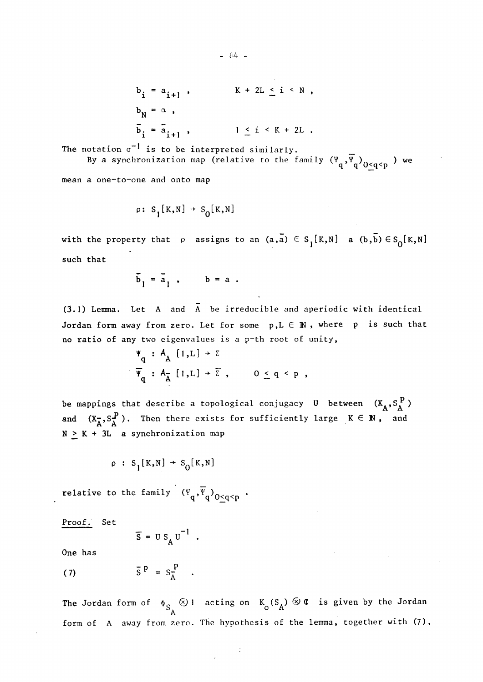$$
b_{i} = a_{i+1} , \qquad K + 2L \leq i \leq N ,
$$
  
\n
$$
b_{N} = \alpha ,
$$
  
\n
$$
\overline{b}_{i} = \overline{a}_{i+1} , \qquad 1 \leq i \leq K + 2L .
$$

The notation  $\sigma^{-1}$  is to be interpreted similarly.

By a synchronization map (relative to the family  $({\mathbb{Y}}_{\mathsf{d}}, {\mathbb{Y}}_{\mathsf{d}})_{0\leq\mathsf{d}\leq\mathsf{n}}$  ) we  $\frac{1}{2}$   $\frac{1}{2}$   $\frac{1}{2}$   $\frac{1}{2}$ 

mean a one-to-one and onto map

$$
\rho: S_1[K,N] \rightarrow S_0[K,N]
$$

with the property that  $\rho$  assigns to an  $(a,\overline{a}) \in S_{1}[K,N]$  a  $(b,\overline{b}) \in S_{0}[K,N]$ such that

$$
\overline{b}_1 = \overline{a}_1 , \qquad b = a .
$$

(3.1) Lemma. Let A and  $\bar{A}$  be irreducible and aperiodic with identical Jordan form away from zero. Let for some  $p, L \in \mathbb{N}$ , where p is such that no ratio of any two eigenvalues is a p-th root of unity,

$$
\Psi_{q} : A_{A} [1, L] \rightarrow \Sigma
$$
  
\n
$$
\overline{\Psi}_{q} : A_{\overline{A}} [1, L] \rightarrow \overline{\Sigma}, \qquad 0 \leq q < p,
$$

be mappings that describe a topological conjugacy U between  $(X_A, S_A^P)$ and  $(X_{\overline{A}}, S_{\overline{A}}^P)$ . Then there exists for sufficiently large  $K \in \mathbb{N}$ , and  $N > K + 3L$  a synchronization map

$$
\rho : S_1[K,N] \rightarrow S_0[K,N]
$$

relative to the family  $(\Psi_q, \overline{\Psi}_q)_{0 \leq q \leq p}$ .

$$
\overline{S} = U S_A U^{-1} .
$$

One has

$$
\overline{S}^{\ P} = S_{\overline{A}}^{\ P} \quad .
$$

The Jordan form of  $\circ_{S_A}$   $\otimes$  1 acting on  $K_o(S_A)$   $\otimes$  C is given by the Jordan  $\circ$ form of A away from zero. The hypothesis of the lemma, together with (7),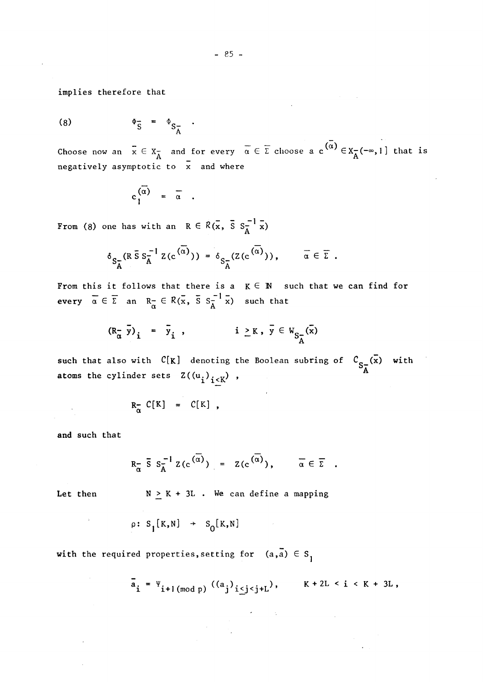implies therefore that

$$
\Phi_{\overline{S}} = \Phi_{S_{\overline{A}}} \quad .
$$

Choose now an  $\bar{x} \in X_{\bar{A}}$  and for every  $\bar{\alpha} \in \bar{\Sigma}$  choose a  $c^{(\bar{\alpha})} \in X_{\bar{A}}(-\infty, 1]$  that is negatively asymptotic to  $\overline{x}$  and where

$$
c_1^{(\alpha)} = \overline{\alpha} \quad .
$$

 $\overline{\textbf{s}}$  with an  $\overline{\textbf{r}}$  $\mathbf{A}$  on  $\mathbf{A}$ 

$$
\delta_{S_{\overline{A}}^{-}}(\overline{R\ \overline{S}\ S_{\overline{A}}^{-1}\ Z(\mathbf{c}^{(\overline{\alpha})}))}=\delta_{S_{\overline{A}}^{-}}(\overline{Z(\mathbf{c}^{(\overline{\alpha})})}),\qquad \overline{\alpha}\in \overline{\Sigma}.
$$

From this it follows that there is a  $K \in \mathbb{N}$  such that we can find for every  $\alpha \in \Sigma$  an  $R_{\alpha} \in R(x, S S_{\lambda}^{-1} x)$  such that

$$
(\mathbf{R}_{\alpha}^{\mathbf{-}}\bar{\mathbf{y}})_{\mathbf{i}} = \bar{\mathbf{y}}_{\mathbf{i}}, \qquad \qquad \mathbf{i} \geq \mathbf{K}, \ \bar{\mathbf{y}} \in \mathbf{W}_{\mathbf{S}_{\bar{\mathbf{A}}}}(\bar{\mathbf{x}})
$$

such that also with  $\mathcal{C}[\kappa]$  denoting the Boolean subring of  $\mathcal{C}_{_{\mathbf{C}\!-\!}}(\mathbf{x})$  with atoms the cylinder sets  $Z((u_i)_{i\leq K})$ ,  $\mathbf{A}$ 

$$
R_{\alpha}^{-} C[K] = C[K],
$$

and such that

$$
R_{\overline{\alpha}} \ \overline{S} \ S_{\overline{A}}^{-1} Z(c^{(\overline{\alpha})}) = Z(c^{(\overline{\alpha})}), \qquad \overline{\alpha} \in \overline{\Sigma}
$$

Let then  $N \geq K + 3L$ . We can define a mapping

$$
\rho: S_{1}[\mathbf{K}, \mathbf{N}] \rightarrow S_{0}[\mathbf{K}, \mathbf{N}]
$$

with the required properties, setting for  $(a, a) \in S_1$ 

$$
\bar{a}_i = \Psi_{i+1 \pmod{p}} ((a_j)_{i \leq j < j+L}), \qquad K + 2L < i < K + 3L,
$$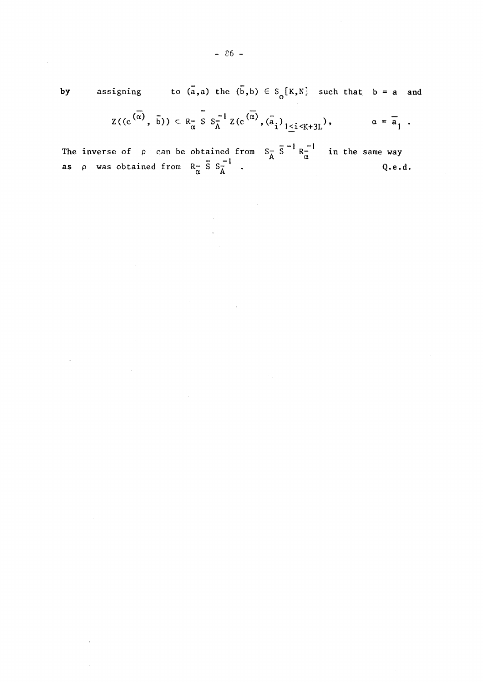assigning to  $(\overline{a}, a)$  the  $(\overline{b}, b) \in S_o[K, N]$  such that  $b = a$  and

$$
Z((c^{(\alpha)}, \bar{b})) \subset R_{\alpha}^{-} S S_{\bar{A}}^{-1} Z(c^{(\alpha)}, (\bar{a}_{\dot{1}})_{1 \leq \dot{1} < K + 3L}), \qquad \alpha = \bar{a}_{1}.
$$

The inverse of  $\rho$  can be obtained from  $S_{\overline{A}} \overline{S}^{-1} R_{\overline{A}}^{-1}$  in the same way<br>as  $\rho$  was obtained from  $R_{\overline{A}} \overline{S} S_{\overline{A}}^{-1}$ . Q.e.d  $Q.e.d.$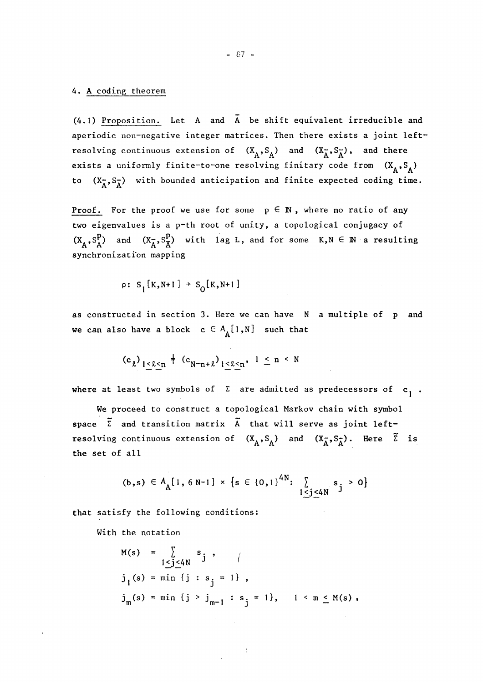#### 4. A coding theorem

 $(4.1)$  Proposition. Let A and  $\overline{A}$  be shift equivalent irreducible and aperiodic non-negative integer matrices. Then there exists a joint leftresolving continuous extension of  $(X_A^*, S_A^*)$  and  $(X_A^*, S_A^*)$ , and there exists a uniformly finite-to-one resolving finitary code from  $(X_A, S_A)$ to  $(X_{\overline{\lambda}}, S_{\overline{\lambda}})$  with bounded anticipation and finite expected coding time. *A. A* 

Proof. For the proof we use for some  $p \in \mathbb{N}$ , where no ratio of any two eigenvalues is a p-th root of unity, a topological conjugacy of  $(X_A, S_A^P)$  and  $(X_{\overline{A}}, S_{\overline{A}}^P)$  with lag L, and for some  $K, N \in \mathbb{N}$  a resul synchronization mapping

$$
\rho
$$
: S<sub>1</sub>[K,N+1]  $\rightarrow$  S<sub>0</sub>[K,N+1]

as constructed in section 3. Here we can have N a multiple of p and we can also have a block  $c \in A_{A}^{[1,N]}$  such that

$$
(c_{\ell})_{1 \leq \ell \leq n} \neq (c_{N-n+\ell})_{1 \leq \ell \leq n}, \quad 1 \leq n < N
$$

where at least two symbols of  $\Sigma$  are admitted as predecessors of  $\mathbf{c}_1^{\top}$ .

We proceed to construct a topological Markov chain with symbol space  $\tilde{\Sigma}$  and transition matrix  $\tilde{A}$  that will serve as joint leftresolving continuous extension of  $(X_{\tilde{A}},S_{\tilde{A}})$  and  $(X_{\tilde{A}},S_{\tilde{A}})$ . Here  $\tilde{\tilde{\iota}}$  is the set of all

$$
(b,s) \in A_{A}[1, 6 N-1] \times \{s \in \{0,1\}^{4N}: \sum_{1 \leq j \leq 4N} s_j > 0\}
$$

that satisfy the following conditions:

With the notation

$$
M(s) = \sum_{1 \le j \le 4N} s_j , \qquad \qquad
$$
  
\n
$$
j_1(s) = \min \{j : s_j = 1\},
$$
  
\n
$$
j_m(s) = \min \{j > j_{m-1} : s_j = 1\}, \qquad 1 < m \le M(s),
$$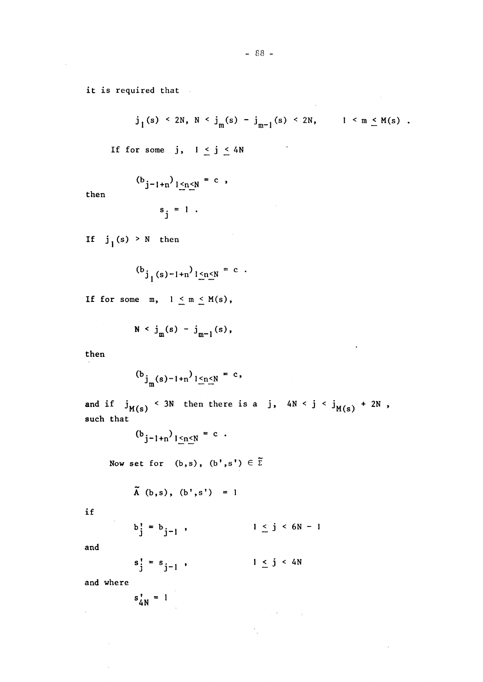it is required that

$$
j_1(s) < 2N, N < j_m(s) - j_{m-1}(s) < 2N, \qquad 1 < m \leq M(s).
$$

If for some j,  $1 \leq j \leq 4N$ 

then

$$
(b_{j-l+n})_{1 \leq n \leq N} = c ,
$$

$$
s_j = 1.
$$

If  $j_1(s) > N$  then

$$
^{(b}j_1(s)-1+n^2)\leq n\leq N^{\alpha-c}.
$$

If for some  $m$ ,  $1 \le m \le M(s)$ ,

$$
N \langle j_m(s) - j_{m-1}(s) \rangle
$$

then

$$
^{(b}j_{m}(s)-1+n})_{1\leq n\leq N}=c,
$$

and if  $j_{M(s)} < 3N$  then there is a j,  $4N < j < j_{M(s)} + 2N$ , such that

$$
(b_{j-1+n})_{1 \leq n \leq N} = c
$$

Now set for  $(b,s)$ ,  $(b',s') \in \overline{\Sigma}$ 

$$
\tilde{A}(b,s), (b',s') = 1
$$

if

$$
b_j^1 = b_{j-1}
$$
,  $1 \le j \le 6N - 1$ 

 $\label{eq:2} \mathcal{L} = \mathcal{L} \left( \mathcal{L} \right) = \mathcal{L} \left( \mathcal{L} \right)$ 

 $\bar{z}$ 

 $\frac{1}{\sqrt{2}}\sum_{i=1}^{n} \frac{1}{\sqrt{2}}\left(\frac{1}{\sqrt{2}}\right)^2$ 

and

 $\mathcal{L}^{\text{max}}$ 

$$
s_j^* = s_{j-1} \qquad \qquad 1 \leq j < 4N
$$

and where

$$
s_{4N}^{\dagger} = 1
$$

 $\hat{\mathcal{A}}$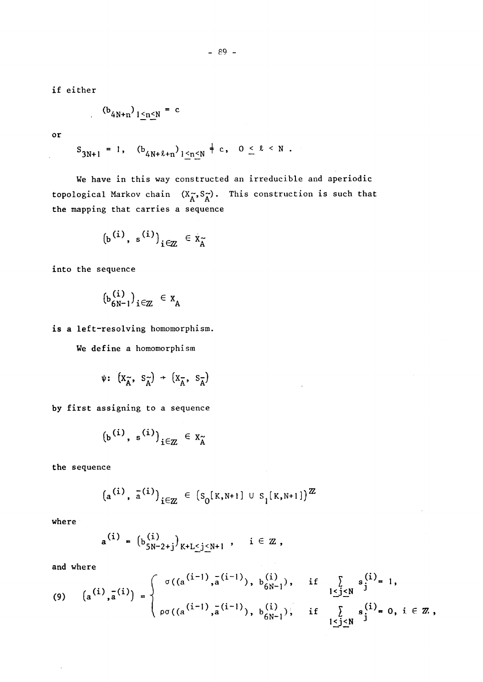if either

$$
(b_{4N+n})_{1 \leq n \leq N} = c
$$

or

$$
S_{3N+1} = 1
$$
,  $(b_{4N+1} + n)_{1 \leq n \leq N} \neq c$ ,  $0 \leq 10 < n$ .

We have in this way constructed an irreducible and aperiodic topological Markov chain  $(X_{\widetilde{A}},S_{\widetilde{A}})$ . This construction is such that **..**<br>eduen  $t_{\rm t}$  and carries a séquence a séquence a séquence a séquence a séquence a séquence a séquence a séquence a séquence a séquence a séquence a séquence a séquence a séquence a séquence a séquence a séquence a séquence a

$$
\big(\mathtt{b}^{\,\mathbf{(i)}},\ \mathtt{s}^{\,\mathbf{(i)}}\big)_{\,i\in\mathbb{Z}}\ \in\mathbf{x}_{\widetilde{A}}
$$

into the sequence

$$
\left(\begin{smallmatrix} \mathbf{b} & \mathbf{1} \\ \mathbf{b} & \mathbf{0} \\ \mathbf{0} & \mathbf{N} \end{smallmatrix}\right)_{\mathbf{i} \in \mathbb{Z}} \in \mathbf{x}_{\mathbf{A}}
$$

is a left-resolving homomorphism.

We define a homomorphism

$$
\psi\colon (x_{\widetilde{A}}, s_{\widetilde{A}}) \rightarrow (x_{\widetilde{A}}, s_{\widetilde{A}})
$$

by first assigning to a sequence

$$
\left(b^{(i)}, s^{(i)}\right)_{i \in \mathbb{Z}} \in X_{\widetilde{A}}
$$

the sequence

$$
(a^{(i)}, \bar{a}^{(i)})_{i \in \mathbb{Z}} \in (s_0[K, N+1] \cup s_1[K, N+1])^{\mathbb{Z}}
$$

where

$$
a^{(i)} = (b_{5N-2+j}^{(i)})_{K+L \leq j \leq N+1}
$$
,  $i \in \mathbb{Z}$ ,

and where

(9) 
$$
(a^{(i)}, a^{(i)}) = \begin{cases} \sigma((a^{(i-1)}, a^{(i-1)}), b_{6N-1}^{(i)}), & \text{if } \sum_{1 \leq j \leq N} s_j^{(i)} = 1, \\ \rho \sigma((a^{(i-1)}, a^{(i-1)}), b_{6N-1}^{(i)}), & \text{if } \sum_{1 \leq j \leq N} s_j^{(i)} = 0, i \in \mathbb{Z}, \end{cases}
$$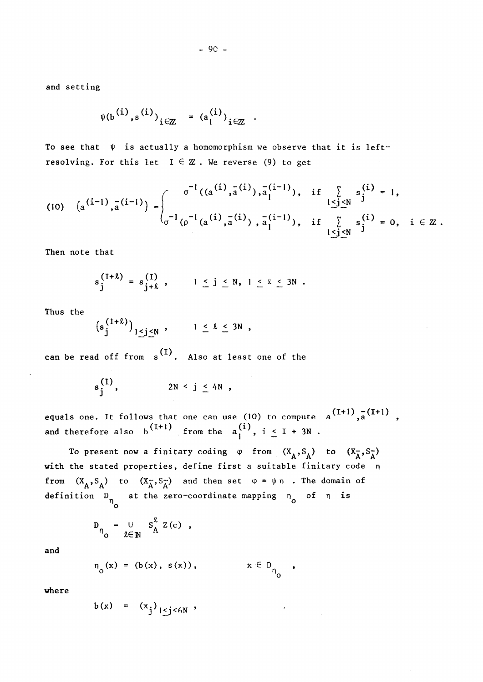and setting

$$
\psi(b^{(i)}, s^{(i)})_{i \in \mathbb{Z}} = (a_1^{(i)})_{i \in \mathbb{Z}}.
$$

To see that  $\psi$  is actually a homomorphism we observe that it is leftresolving. For this let  $I \in \mathbb{Z}$ . We reverse (9) to get

$$
(10) \quad \left(a^{(i-1)}, a^{(i-1)}\right) = \begin{cases} \sigma^{-1}((a^{(i)}, a^{(i)}), a_1^{-(i-1)}), & \text{if } \sum_{1 \leq j \leq N} s_j^{(i)} = 1, \\ \sigma^{-1}(\rho^{-1}(a^{(i)}, a^{(i)}), a_1^{-(i-1)}), & \text{if } \sum_{1 \leq j \leq N} s_j^{(i)} = 0, \quad i \in \mathbb{Z}. \end{cases}
$$

Then note that

$$
s_j^{(1+\ell)} = s_{j+\ell}^{(1)}, \qquad 1 \leq j \leq N, \ 1 \leq \ell \leq 3N.
$$

Thus the

$$
(s_j^{(1+\ell)})_{1\leq j\leq N}, \qquad 1\leq \ell \leq 3N,
$$

can be read off from  $s^{(1)}$ . Also at least one of the

 $s_i^{(1)}$ ,  $2N < j \le 4N$ ,

equals one. It follows that one can use (10) to compute  $a^{(I+1)}, a^{(I+1)}$ ,<br>and therefore also b<sup>(I+1)</sup> from the  $a_1^{(i)}$ ,  $i \leq I + 3N$ .

To present now a finitary coding  $\varphi$  from  $(X_A, S_A)$  to  $(X_A^-, S_A^-)$ with the stated properties, define first a suitable finitary code n from  $(X_A, S_A)$  to  $(X_{\widetilde{A}}, S_{\widetilde{A}})$  and then set  $\varphi = \psi \eta$  . The domain of definition  $D_{\eta_{\alpha}}$  at the zero-coordinate mapping  $\eta_{\alpha}$  of  $\eta$  is

$$
D_{\eta_0} = \bigcup_{\ell \in \mathbb{N}} S_A^{\ell} Z(c) ,
$$

and

$$
\eta_{0}(x) = (b(x), s(x)), \qquad x \in D_{\eta_{0}}
$$

where

$$
b(x) = (x_j)_{1 \leq j \leq 6N},
$$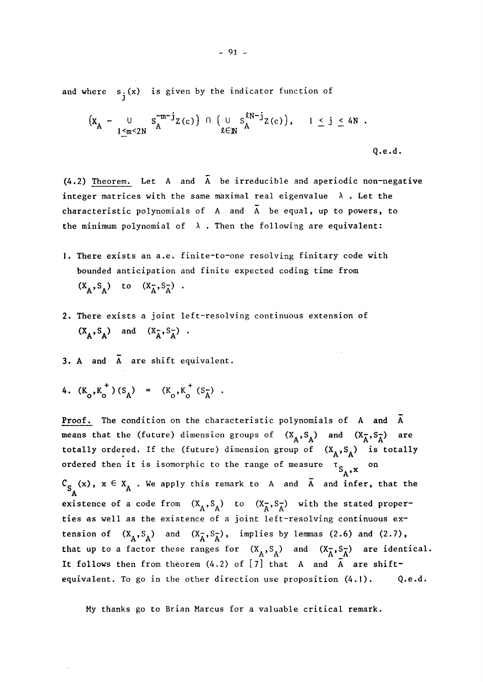and where  $s_i(x)$  is given by the indicator function of

$$
\left(x_A - \underset{1 \leq m < 2N}{\cup} S_A^{-m-j} z(c)\right) \cap \left(\underset{\ell \in \mathbb{N}}{\cup} S_A^{\ell N-j} z(c)\right), \quad 1 \leq j \leq 4N.
$$
\nQ.e.d.

 $(4.2)$  Theorem. Let A and  $\overline{A}$  be irreducible and aperiodic non-negative integer matrices with the same maximal real eigenvalue  $\lambda$ . Let the characteristic polynomials of  $A$  and  $\overline{A}$  be equal, up to powers, to the minimum polynomial of  $\lambda$ . Then the following are equivalent:

- 1. There exists an a.e. finite-to-one resolving finitary code with bounded anticipation and finite expected coding time from  $(X_A, S_A)$  to  $(X_A^-, S_A^-)$  .
- 2. There exists a joint left-resolving continuous extension of  $(X_A, S_A)$  and  $(X_A^-, S_A^-)$ .
- 3. A and  $\bar{A}$  are shift equivalent.

4.  $(K_o, K_o^{\dagger})(S_A) = (K_o, K_o^{\dagger}(S_{\overline{A}})$ .

Proof. The condition on the characteristic polynomials of A and  $\overline{A}$ means that the (future) dimension groups of  $(X_{\tilde{A}}, S_{\tilde{A}})$  and  $(X_{\tilde{A}}, S_{\tilde{A}})$  ar totally ordered. If the (future) dimension group of  $(X_A, S_A)$  is totally ordered then it is isomorphic to the range of measure  $\tau_{S_A, x}$  on  $\mathcal{C}_{\mathbf{S}}$  (x),  $\mathbf{x} \in \mathbf{X}_{\mathbf{A}}$  . We apply this remark to A and  $\overline{\mathbf{A}}$  and infer, that the  $A$ existence of a code from  $(X_{\overline{A}},S_{\overline{A}})$  to  $(X_{\overline{A}},S_{\overline{A}})$  with the stated prope ties as well as the existence of a joint left-resolving continuous extension of  $(X_{\overline{A}}, S_{\overline{A}})$  and  $(X_{\overline{A}}, S_{\overline{A}})$ , implies by lemmas (2.6) and (2.7), that up to a factor these ranges for  $(X_A, S_A)$  and  $(X_A^-, S_A^-)$  are identical. It follows then from theorem  $(4.2)$  of  $[7]$  that A and  $\overline{A}$  are shiftequivalent. To go in the other direction use proposition  $(4.1)$ . Q.e.d.

My thanks go to Brian Marcus for a valuable critical remark.